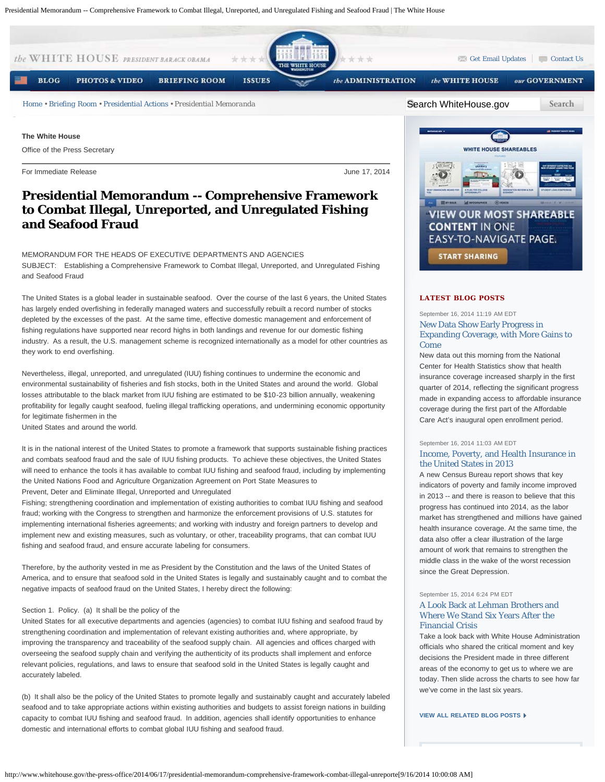

# **Presidential Memorandum -- Comprehensive Framework to Combat Illegal, Unreported, and Unregulated Fishing and Seafood Fraud**

MEMORANDUM FOR THE HEADS OF EXECUTIVE DEPARTMENTS AND AGENCIES SUBJECT: Establishing a Comprehensive Framework to Combat Illegal, Unreported, and Unregulated Fishing and Seafood Fraud

The United States is a global leader in sustainable seafood. Over the course of the last 6 years, the United States has largely ended overfishing in federally managed waters and successfully rebuilt a record number of stocks depleted by the excesses of the past. At the same time, effective domestic management and enforcement of fishing regulations have supported near record highs in both landings and revenue for our domestic fishing industry. As a result, the U.S. management scheme is recognized internationally as a model for other countries as they work to end overfishing.

Nevertheless, illegal, unreported, and unregulated (IUU) fishing continues to undermine the economic and environmental sustainability of fisheries and fish stocks, both in the United States and around the world. Global losses attributable to the black market from IUU fishing are estimated to be \$10-23 billion annually, weakening profitability for legally caught seafood, fueling illegal trafficking operations, and undermining economic opportunity for legitimate fishermen in the

United States and around the world.

It is in the national interest of the United States to promote a framework that supports sustainable fishing practices and combats seafood fraud and the sale of IUU fishing products. To achieve these objectives, the United States will need to enhance the tools it has available to combat IUU fishing and seafood fraud, including by implementing the United Nations Food and Agriculture Organization Agreement on Port State Measures to

Prevent, Deter and Eliminate Illegal, Unreported and Unregulated

Fishing; strengthening coordination and implementation of existing authorities to combat IUU fishing and seafood fraud; working with the Congress to strengthen and harmonize the enforcement provisions of U.S. statutes for implementing international fisheries agreements; and working with industry and foreign partners to develop and implement new and existing measures, such as voluntary, or other, traceability programs, that can combat IUU fishing and seafood fraud, and ensure accurate labeling for consumers.

Therefore, by the authority vested in me as President by the Constitution and the laws of the United States of America, and to ensure that seafood sold in the United States is legally and sustainably caught and to combat the negative impacts of seafood fraud on the United States, I hereby direct the following:

# Section 1. Policy. (a) It shall be the policy of the

United States for all executive departments and agencies (agencies) to combat IUU fishing and seafood fraud by strengthening coordination and implementation of relevant existing authorities and, where appropriate, by improving the transparency and traceability of the seafood supply chain. All agencies and offices charged with overseeing the seafood supply chain and verifying the authenticity of its products shall implement and enforce relevant policies, regulations, and laws to ensure that seafood sold in the United States is legally caught and accurately labeled.

(b) It shall also be the policy of the United States to promote legally and sustainably caught and accurately labeled seafood and to take appropriate actions within existing authorities and budgets to assist foreign nations in building capacity to combat IUU fishing and seafood fraud. In addition, agencies shall identify opportunities to enhance domestic and international efforts to combat global IUU fishing and seafood fraud.



# **LATEST BLOG POSTS**

# September 16, 2014 11:19 AM EDT [New Data Show Early Progress in](http://www.whitehouse.gov/blog/2014/09/16/new-data-show-early-progress-expanding-coverage-more-gains-come) [Expanding Coverage, with More Gains to](http://www.whitehouse.gov/blog/2014/09/16/new-data-show-early-progress-expanding-coverage-more-gains-come) [Come](http://www.whitehouse.gov/blog/2014/09/16/new-data-show-early-progress-expanding-coverage-more-gains-come)

New data out this morning from the National Center for Health Statistics show that health insurance coverage increased sharply in the first quarter of 2014, reflecting the significant progress made in expanding access to affordable insurance coverage during the first part of the Affordable Care Act's inaugural open enrollment period.

#### September 16, 2014 11:03 AM EDT

# [Income, Poverty, and Health Insurance in](http://www.whitehouse.gov/blog/2014/09/16/income-poverty-and-health-insurance-united-states-2013) [the United States in 2013](http://www.whitehouse.gov/blog/2014/09/16/income-poverty-and-health-insurance-united-states-2013)

A new Census Bureau report shows that key indicators of poverty and family income improved in 2013 -- and there is reason to believe that this progress has continued into 2014, as the labor market has strengthened and millions have gained health insurance coverage. At the same time, the data also offer a clear illustration of the large amount of work that remains to strengthen the middle class in the wake of the worst recession since the Great Depression.

# September 15, 2014 6:24 PM EDT [A Look Back at Lehman Brothers and](http://www.whitehouse.gov/blog/2014/09/15/look-back-lehman-brothers-and-where-we-stand-six-years-after-financial-crisis) [Where We Stand Six Years After the](http://www.whitehouse.gov/blog/2014/09/15/look-back-lehman-brothers-and-where-we-stand-six-years-after-financial-crisis) [Financial Crisis](http://www.whitehouse.gov/blog/2014/09/15/look-back-lehman-brothers-and-where-we-stand-six-years-after-financial-crisis)

Take a look back with White House Administration officials who shared the critical moment and key decisions the President made in three different areas of the economy to get us to where we are today. Then slide across the charts to see how far we've come in the last six years.

**[VIEW ALL RELATED BLOG POSTS](http://www.whitehouse.gov/blog/issues/all)**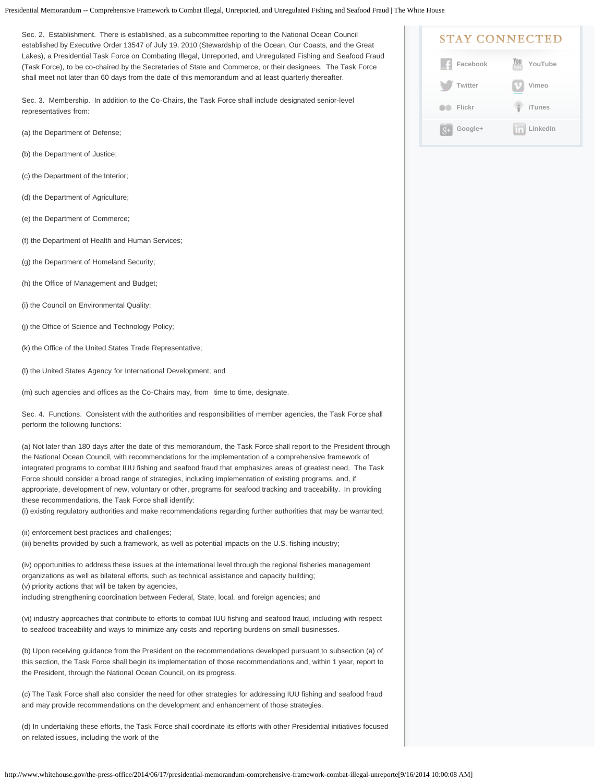Sec. 2. Establishment. There is established, as a subcommittee reporting to the National Ocean Council established by Executive Order 13547 of July 19, 2010 (Stewardship of the Ocean, Our Coasts, and the Great Lakes), a Presidential Task Force on Combating Illegal, Unreported, and Unregulated Fishing and Seafood Fraud (Task Force), to be co-chaired by the Secretaries of State and Commerce, or their designees. The Task Force shall meet not later than 60 days from the date of this memorandum and at least quarterly thereafter.

Sec. 3. Membership. In addition to the Co-Chairs, the Task Force shall include designated senior-level representatives from:

- (a) the Department of Defense;
- (b) the Department of Justice;
- (c) the Department of the Interior;
- (d) the Department of Agriculture;
- (e) the Department of Commerce;
- (f) the Department of Health and Human Services;
- (g) the Department of Homeland Security;
- (h) the Office of Management and Budget;
- (i) the Council on Environmental Quality;
- (j) the Office of Science and Technology Policy;
- (k) the Office of the United States Trade Representative;
- (l) the United States Agency for International Development; and
- (m) such agencies and offices as the Co-Chairs may, from time to time, designate.

Sec. 4. Functions. Consistent with the authorities and responsibilities of member agencies, the Task Force shall perform the following functions:

(a) Not later than 180 days after the date of this memorandum, the Task Force shall report to the President through the National Ocean Council, with recommendations for the implementation of a comprehensive framework of integrated programs to combat IUU fishing and seafood fraud that emphasizes areas of greatest need. The Task Force should consider a broad range of strategies, including implementation of existing programs, and, if appropriate, development of new, voluntary or other, programs for seafood tracking and traceability. In providing these recommendations, the Task Force shall identify:

(i) existing regulatory authorities and make recommendations regarding further authorities that may be warranted;

(ii) enforcement best practices and challenges;

(iii) benefits provided by such a framework, as well as potential impacts on the U.S. fishing industry;

(iv) opportunities to address these issues at the international level through the regional fisheries management organizations as well as bilateral efforts, such as technical assistance and capacity building; (v) priority actions that will be taken by agencies,

including strengthening coordination between Federal, State, local, and foreign agencies; and

(vi) industry approaches that contribute to efforts to combat IUU fishing and seafood fraud, including with respect to seafood traceability and ways to minimize any costs and reporting burdens on small businesses.

(b) Upon receiving guidance from the President on the recommendations developed pursuant to subsection (a) of this section, the Task Force shall begin its implementation of those recommendations and, within 1 year, report to the President, through the National Ocean Council, on its progress.

(c) The Task Force shall also consider the need for other strategies for addressing IUU fishing and seafood fraud and may provide recommendations on the development and enhancement of those strategies.

(d) In undertaking these efforts, the Task Force shall coordinate its efforts with other Presidential initiatives focused on related issues, including the work of the

| <b>STAY CONNECTED</b> |          |
|-----------------------|----------|
| Facebook              | YouTube  |
| Twitter               | Vimeo    |
| Flickr                | iTunes   |
| Google+               | LinkedIn |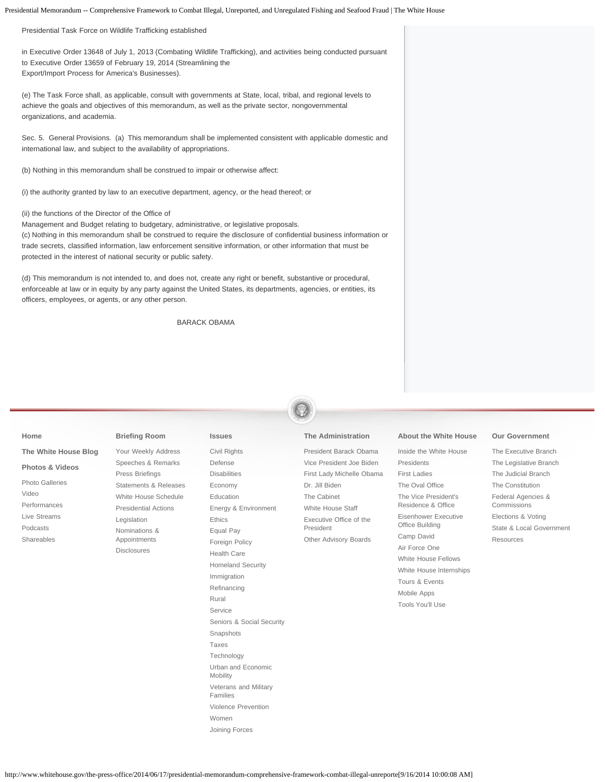Presidential Task Force on Wildlife Trafficking established

in Executive Order 13648 of July 1, 2013 (Combating Wildlife Trafficking), and activities being conducted pursuant to Executive Order 13659 of February 19, 2014 (Streamlining the Export/Import Process for America's Businesses).

(e) The Task Force shall, as applicable, consult with governments at State, local, tribal, and regional levels to achieve the goals and objectives of this memorandum, as well as the private sector, nongovernmental organizations, and academia.

Sec. 5. General Provisions. (a) This memorandum shall be implemented consistent with applicable domestic and international law, and subject to the availability of appropriations.

(b) Nothing in this memorandum shall be construed to impair or otherwise affect:

(i) the authority granted by law to an executive department, agency, or the head thereof; or

## (ii) the functions of the Director of the Office of

Management and Budget relating to budgetary, administrative, or legislative proposals. (c) Nothing in this memorandum shall be construed to require the disclosure of confidential business information or trade secrets, classified information, law enforcement sensitive information, or other information that must be protected in the interest of national security or public safety.

(d) This memorandum is not intended to, and does not, create any right or benefit, substantive or procedural, enforceable at law or in equity by any party against the United States, its departments, agencies, or entities, its officers, employees, or agents, or any other person.

#### BARACK OBAMA

#### **[The Administration](http://www.whitehouse.gov/administration)**

[President Barack Obama](http://www.whitehouse.gov/administration/president-obama) [Vice President Joe Biden](http://www.whitehouse.gov/administration/vice-president-biden) [First Lady Michelle Obama](http://www.whitehouse.gov/administration/first-lady-michelle-obama) [Dr. Jill Biden](http://www.whitehouse.gov/administration/jill-biden) [The Cabinet](http://www.whitehouse.gov/administration/cabinet) [White House Staff](http://www.whitehouse.gov/administration/staff) [Executive Office of the](http://www.whitehouse.gov/administration/eop) [President](http://www.whitehouse.gov/administration/eop) [Other Advisory Boards](http://www.whitehouse.gov/administration/other-advisory-boards)

**[About the White House](http://www.whitehouse.gov/about)**

[Inside the White House](http://www.whitehouse.gov/about/inside-white-house) [Presidents](http://www.whitehouse.gov/about/presidents) [First Ladies](http://www.whitehouse.gov/about/first-ladies) [The Oval Office](http://www.whitehouse.gov/about/oval-office) [The Vice President's](http://www.whitehouse.gov/about/vp-residence) [Residence & Office](http://www.whitehouse.gov/about/vp-residence) [Eisenhower Executive](http://www.whitehouse.gov/about/eeob) [Office Building](http://www.whitehouse.gov/about/eeob) [Camp David](http://www.whitehouse.gov/about/camp-david) [Air Force One](http://www.whitehouse.gov/about/air-force-one) [White House Fellows](http://www.whitehouse.gov/about/fellows) [White House Internships](http://www.whitehouse.gov/about/internships) [Tours & Events](http://www.whitehouse.gov/about/tours-and-events) [Mobile Apps](http://www.whitehouse.gov/mobile) [Tools You'll Use](http://www.whitehouse.gov/tools)

### **[Our Government](http://www.whitehouse.gov/our-government)**

[The Executive Branch](http://www.whitehouse.gov/our-government/executive-branch) [The Legislative Branch](http://www.whitehouse.gov/our-government/legislative-branch) [The Judicial Branch](http://www.whitehouse.gov/our-government/judicial-branch) [The Constitution](http://www.whitehouse.gov/our-government/the-constitution) [Federal Agencies &](http://www.whitehouse.gov/our-government/federal-agencies-and-commissions) [Commissions](http://www.whitehouse.gov/our-government/federal-agencies-and-commissions) [Elections & Voting](http://www.whitehouse.gov/our-government/elections-and-voting) [State & Local Government](http://www.whitehouse.gov/our-government/state-and-local-government) **[Resources](http://www.whitehouse.gov/our-government/resources)** 

# **[Briefing Room](http://www.whitehouse.gov/briefing-room)**

**[Home](http://www.whitehouse.gov/)**

**[The White House Blog](http://www.whitehouse.gov/blog) [Photos & Videos](http://www.whitehouse.gov/video)** [Photo Galleries](http://www.whitehouse.gov/slideshows) [Video](http://www.whitehouse.gov/video) [Performances](http://www.whitehouse.gov/performances) [Live Streams](http://www.whitehouse.gov/live) [Podcasts](http://www.whitehouse.gov/podcasts) [Shareables](http://www.whitehouse.gov/share/all)

- [Your Weekly Address](http://www.whitehouse.gov/briefing-room/weekly-address) [Speeches & Remarks](http://www.whitehouse.gov/briefing-room/speeches-and-remarks) [Press Briefings](http://www.whitehouse.gov/briefing-room/press-briefings) [Statements & Releases](http://www.whitehouse.gov/briefing-room/statements-and-releases) [White House Schedule](http://www.whitehouse.gov/schedule/complete) [Presidential Actions](http://www.whitehouse.gov/briefing-room/presidential-actions) [Legislation](http://www.whitehouse.gov/briefing-room/legislation) [Nominations &](http://www.whitehouse.gov/briefing-room/nominations-and-appointments) [Appointments](http://www.whitehouse.gov/briefing-room/nominations-and-appointments) [Disclosures](http://www.whitehouse.gov/briefing-room/disclosures/visitor-records)
- **[Issues](http://www.whitehouse.gov/issues)**

[Civil Rights](http://www.whitehouse.gov/issues/civil-rights) [Defense](http://www.whitehouse.gov/issues/defense) [Disabilities](http://www.whitehouse.gov/issues/disabilities) [Economy](http://www.whitehouse.gov/economy) [Education](http://www.whitehouse.gov/issues/education) [Energy & Environment](http://www.whitehouse.gov/energy) [Ethics](http://www.whitehouse.gov/21stcenturygov) [Equal Pay](http://www.whitehouse.gov/issues/equal-pay) [Foreign Policy](http://www.whitehouse.gov/issues/foreign-policy) [Health Care](http://www.whitehouse.gov/healthreform) [Homeland Security](http://www.whitehouse.gov/issues/homeland-security) [Immigration](http://www.whitehouse.gov/issues/immigration) [Refinancing](http://www.whitehouse.gov/refi) [Rural](http://www.whitehouse.gov/administration/eop/rural-council) [Service](http://www.whitehouse.gov/issues/service) [Seniors & Social Security](http://www.whitehouse.gov/issues/seniors-and-social-security) [Snapshots](http://www.whitehouse.gov/snapshots/creating-american-jobs) [Taxes](http://www.whitehouse.gov/issues/taxes) [Technology](http://www.whitehouse.gov/issues/technology) [Urban and Economic](http://www.whitehouse.gov/issues/urban-and-economic-mobility) **[Mobility](http://www.whitehouse.gov/issues/urban-and-economic-mobility)** [Veterans and Military](http://www.whitehouse.gov/issues/veterans) [Families](http://www.whitehouse.gov/issues/veterans) [Violence Prevention](http://www.whitehouse.gov/issues/preventing-gun-violence) [Women](http://www.whitehouse.gov/issues/women)

[Joining Forces](http://www.whitehouse.gov/joiningforces)